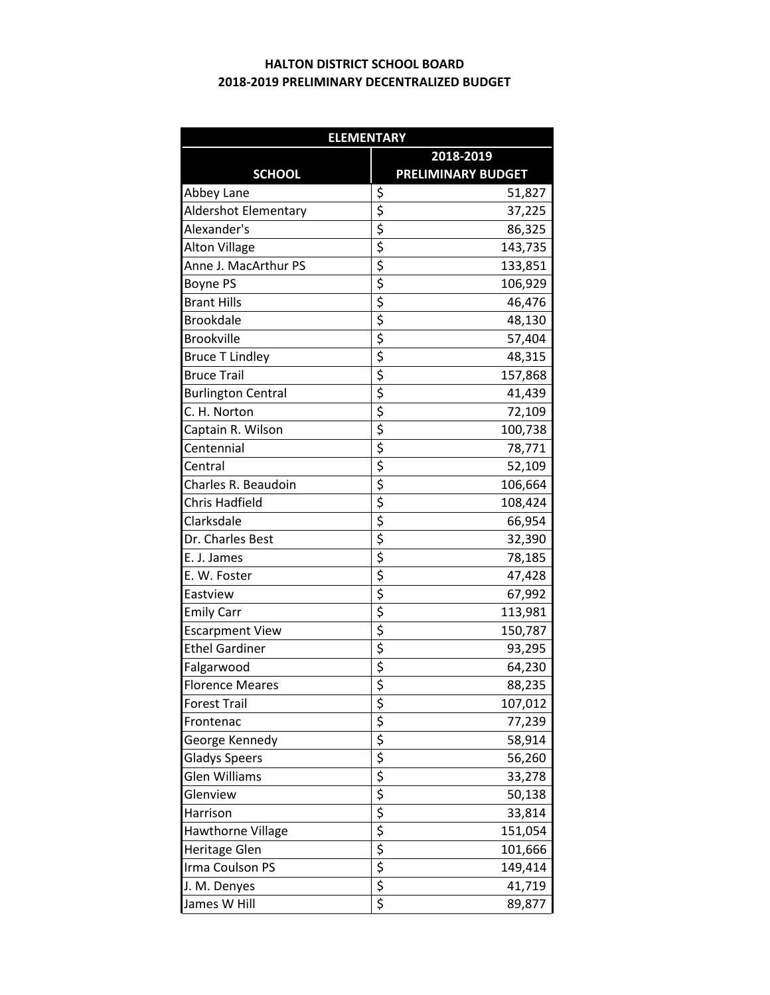## **2018-2019 PRELIMINARY DECENTRALIZED BUDGET HALTON DISTRICT SCHOOL BOARD**

| <b>ELEMENTARY</b>           |                                     |                           |  |
|-----------------------------|-------------------------------------|---------------------------|--|
|                             | 2018-2019                           |                           |  |
| <b>SCHOOL</b>               |                                     | <b>PRELIMINARY BUDGET</b> |  |
| Abbey Lane                  | \$                                  | 51,827                    |  |
| <b>Aldershot Elementary</b> | \$                                  | 37,225                    |  |
| Alexander's                 | $\overline{\boldsymbol{\varsigma}}$ | 86,325                    |  |
| <b>Alton Village</b>        | \$                                  | 143,735                   |  |
| Anne J. MacArthur PS        | \$                                  | 133,851                   |  |
| <b>Boyne PS</b>             | \$                                  | 106,929                   |  |
| <b>Brant Hills</b>          | \$                                  | 46,476                    |  |
| <b>Brookdale</b>            | $\overline{\boldsymbol{\varsigma}}$ | 48,130                    |  |
| <b>Brookville</b>           | \$                                  | 57,404                    |  |
| <b>Bruce T Lindley</b>      | \$                                  | 48,315                    |  |
| <b>Bruce Trail</b>          | \$                                  | 157,868                   |  |
| <b>Burlington Central</b>   | \$                                  | 41,439                    |  |
| C. H. Norton                | \$                                  | 72,109                    |  |
| Captain R. Wilson           | $\overline{\varsigma}$              | 100,738                   |  |
| Centennial                  | \$                                  | 78,771                    |  |
| Central                     | \$                                  | 52,109                    |  |
| Charles R. Beaudoin         | \$                                  | 106,664                   |  |
| <b>Chris Hadfield</b>       | \$                                  | 108,424                   |  |
| Clarksdale                  | $\overline{\boldsymbol{\zeta}}$     | 66,954                    |  |
| Dr. Charles Best            | \$                                  | 32,390                    |  |
| E. J. James                 | \$                                  | 78,185                    |  |
| E. W. Foster                | $\overline{\varsigma}$              | 47,428                    |  |
| Eastview                    | $\overline{\xi}$                    | 67,992                    |  |
| <b>Emily Carr</b>           | \$                                  | 113,981                   |  |
| <b>Escarpment View</b>      | \$                                  | 150,787                   |  |
| <b>Ethel Gardiner</b>       | \$                                  | 93,295                    |  |
| Falgarwood                  | $\overline{\xi}$                    | 64,230                    |  |
| <b>Florence Meares</b>      | $\overline{\mathsf{s}}$             | 88,235                    |  |
| <b>Forest Trail</b>         | \$                                  | 107,012                   |  |
| Frontenac                   | $\overline{\xi}$                    | 77,239                    |  |
| George Kennedy              | $\overline{\mathcal{S}}$            | 58,914                    |  |
| <b>Gladys Speers</b>        |                                     | 56,260                    |  |
| Glen Williams               | $\frac{1}{2}$<br>$\frac{1}{2}$      | 33,278                    |  |
| Glenview                    |                                     | 50,138                    |  |
| Harrison                    |                                     | 33,814                    |  |
| Hawthorne Village           | $\frac{1}{2}$                       | 151,054                   |  |
| <b>Heritage Glen</b>        |                                     | 101,666                   |  |
| Irma Coulson PS             |                                     | 149,414                   |  |
| J. M. Denyes                |                                     | 41,719                    |  |
| James W Hill                | $\overline{\boldsymbol{\varsigma}}$ | 89,877                    |  |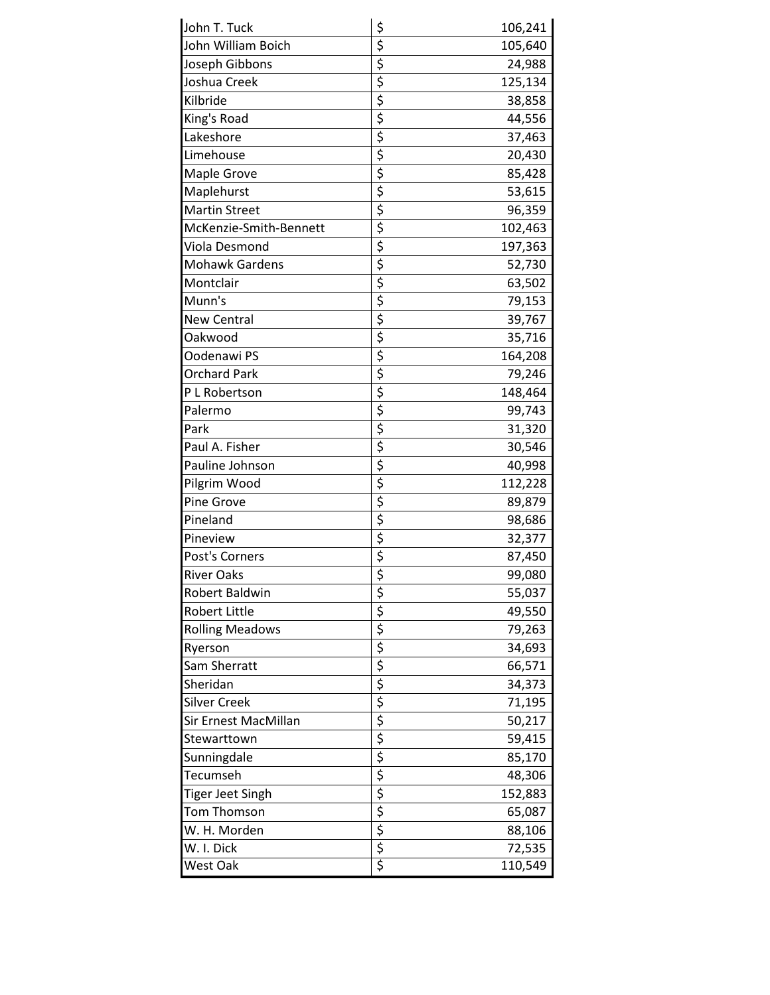| John T. Tuck           | \$                                                                                                 | 106,241 |
|------------------------|----------------------------------------------------------------------------------------------------|---------|
| John William Boich     | $\frac{1}{2}$                                                                                      | 105,640 |
| Joseph Gibbons         |                                                                                                    | 24,988  |
| Joshua Creek           | $\overline{\varsigma}$                                                                             | 125,134 |
| Kilbride               | $\overline{\boldsymbol{\zeta}}$                                                                    | 38,858  |
| King's Road            | $\overline{\boldsymbol{\zeta}}$                                                                    | 44,556  |
| Lakeshore              |                                                                                                    | 37,463  |
| Limehouse              | $\frac{1}{2}$                                                                                      | 20,430  |
| Maple Grove            |                                                                                                    | 85,428  |
| Maplehurst             | $\overline{\varsigma}$                                                                             | 53,615  |
| <b>Martin Street</b>   | \$                                                                                                 | 96,359  |
| McKenzie-Smith-Bennett | $\overline{\varsigma}$                                                                             | 102,463 |
| Viola Desmond          | $\overline{\boldsymbol{\zeta}}$                                                                    | 197,363 |
| <b>Mohawk Gardens</b>  |                                                                                                    | 52,730  |
| Montclair              | $rac{5}{5}$                                                                                        | 63,502  |
| Munn's                 |                                                                                                    | 79,153  |
| <b>New Central</b>     | $\frac{1}{5}$                                                                                      | 39,767  |
| Oakwood                | $\overline{\varsigma}$                                                                             | 35,716  |
| Oodenawi PS            |                                                                                                    | 164,208 |
| <b>Orchard Park</b>    | $\frac{1}{2}$                                                                                      | 79,246  |
| P L Robertson          |                                                                                                    | 148,464 |
| Palermo                | $\overline{\varsigma}$                                                                             | 99,743  |
| Park                   | $\overline{\varsigma}$                                                                             | 31,320  |
| Paul A. Fisher         | $\overline{\boldsymbol{\zeta}}$                                                                    | 30,546  |
| Pauline Johnson        | $\overline{\boldsymbol{\zeta}}$                                                                    | 40,998  |
| Pilgrim Wood           |                                                                                                    | 112,228 |
| Pine Grove             | $\frac{1}{2}$<br>$\frac{1}{2}$                                                                     | 89,879  |
| Pineland               |                                                                                                    | 98,686  |
| Pineview               | $\overline{\boldsymbol{\zeta}}$                                                                    | 32,377  |
| Post's Corners         | \$                                                                                                 | 87,450  |
| <b>River Oaks</b>      |                                                                                                    | 99,080  |
| Robert Baldwin         |                                                                                                    | 55,037  |
| <b>Robert Little</b>   |                                                                                                    | 49,550  |
| <b>Rolling Meadows</b> |                                                                                                    | 79,263  |
| Ryerson                |                                                                                                    | 34,693  |
| Sam Sherratt           |                                                                                                    | 66,571  |
| Sheridan               |                                                                                                    | 34,373  |
| Silver Creek           |                                                                                                    | 71,195  |
| Sir Ernest MacMillan   |                                                                                                    | 50,217  |
| Stewarttown            |                                                                                                    | 59,415  |
| Sunningdale            | $\frac{1}{3}$ is $\frac{1}{3}$ is $\frac{1}{3}$ is $\frac{1}{3}$ is $\frac{1}{3}$ is $\frac{1}{3}$ | 85,170  |
| Tecumseh               |                                                                                                    | 48,306  |
| Tiger Jeet Singh       |                                                                                                    | 152,883 |
| <b>Tom Thomson</b>     |                                                                                                    | 65,087  |
| W. H. Morden           |                                                                                                    | 88,106  |
| W. I. Dick             |                                                                                                    | 72,535  |
| West Oak               |                                                                                                    | 110,549 |